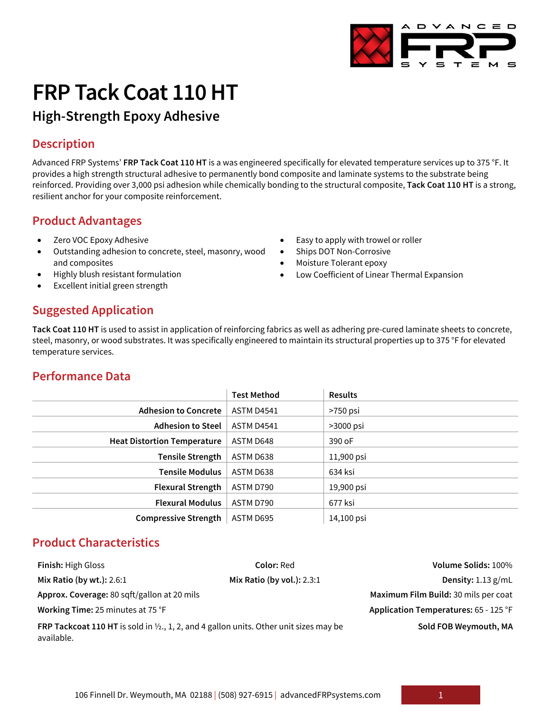# **FRP Tack Coat 110 HT**

# **High-Strength Epoxy Adhesive**

# **Description**

Advanced FRP Systems' **FRP Tack Coat 110 HT** is a was engineered specifically for elevated temperature services up to 375 °F. It provides a high strength structural adhesive to permanently bond composite and laminate systems to the substrate being reinforced. Providing over 3,000 psi adhesion while chemically bonding to the structural composite, **Tack Coat 110 HT** is a strong, resilient anchor for your composite reinforcement.

• Easy to apply with trowel or roller

• Low Coefficient of Linear Thermal Expansion

Ships DOT Non-Corrosive • Moisture Tolerant epoxy

# **Product Advantages**

- Zero VOC Epoxy Adhesive
- Outstanding adhesion to concrete, steel, masonry, wood and composites
- Highly blush resistant formulation
- Excellent initial green strength

# **Suggested Application**

**Tack Coat 110 HT** is used to assist in application of reinforcing fabrics as well as adhering pre-cured laminate sheets to concrete, steel, masonry, or wood substrates. It was specifically engineered to maintain its structural properties up to 375 °F for elevated temperature services.

#### **Performance Data**

|                                    | <b>Test Method</b> | <b>Results</b> |
|------------------------------------|--------------------|----------------|
| <b>Adhesion to Concrete</b>        | ASTM D4541         | $>750$ psi     |
| <b>Adhesion to Steel</b>           | <b>ASTM D4541</b>  | >3000 psi      |
| <b>Heat Distortion Temperature</b> | ASTM D648          | 390 oF         |
| <b>Tensile Strength</b>            | ASTM D638          | 11,900 psi     |
| <b>Tensile Modulus</b>             | ASTM D638          | 634 ksi        |
| <b>Flexural Strength</b>           | ASTM D790          | 19,900 psi     |
| <b>Flexural Modulus</b>            | ASTM D790          | 677 ksi        |
| <b>Compressive Strength</b>        | ASTM D695          | 14,100 psi     |

# **Product Characteristics**

| <b>Finish: High Gloss</b>                                                                                             | <b>Color: Red</b>          |                                       |
|-----------------------------------------------------------------------------------------------------------------------|----------------------------|---------------------------------------|
| Mix Ratio (by wt.): 2.6:1                                                                                             | Mix Ratio (by vol.): 2.3:1 | Density: $1.13$ g/mL                  |
| Approx. Coverage: 80 sqft/gallon at 20 mils                                                                           |                            | Maximum Film Build: 30 mils per coat  |
| Working Time: 25 minutes at 75 °F                                                                                     |                            | Application Temperatures: 65 - 125 °F |
| <b>FRP Tackcoat 110 HT</b> is sold in $\frac{1}{2}$ , 1, 2, and 4 gallon units. Other unit sizes may be<br>available. |                            | Sold FOB Weymouth, MA                 |

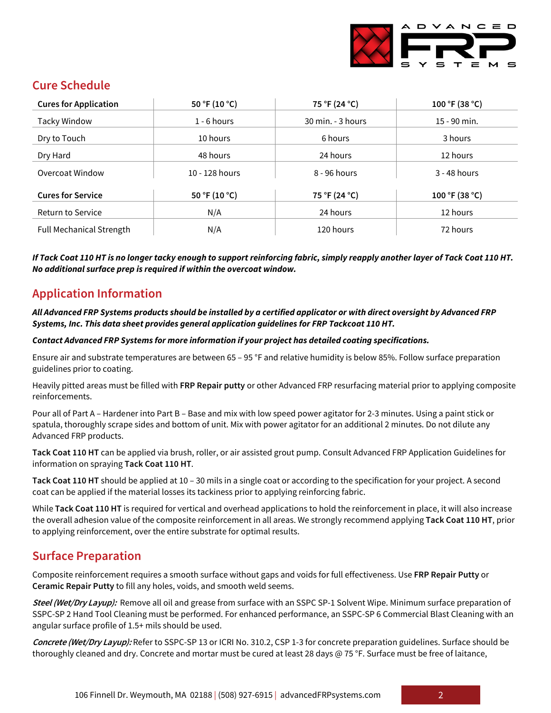

# **Cure Schedule**

| <b>Cures for Application</b>    | 50 °F (10 °C)  | 75 °F (24 °C)     | 100 °F (38 °C) |
|---------------------------------|----------------|-------------------|----------------|
| <b>Tacky Window</b>             | $1 - 6$ hours  | 30 min. - 3 hours | 15 - 90 min.   |
| Dry to Touch                    | 10 hours       | 6 hours           | 3 hours        |
| Dry Hard                        | 48 hours       | 24 hours          | 12 hours       |
| Overcoat Window                 | 10 - 128 hours | 8 - 96 hours      | 3 - 48 hours   |
| <b>Cures for Service</b>        | 50 °F (10 °C)  | 75 °F (24 °C)     | 100 °F (38 °C) |
| <b>Return to Service</b>        | N/A            | 24 hours          | 12 hours       |
| <b>Full Mechanical Strength</b> | N/A            | 120 hours         | 72 hours       |

*If Tack Coat 110 HT is no longer tacky enough to support reinforcing fabric, simply reapply another layer of Tack Coat 110 HT. No additional surface prep is required if within the overcoat window.*

#### **Application Information**

*All Advanced FRP Systems products should be installed by a certified applicator or with direct oversight by Advanced FRP Systems, Inc. This data sheet provides general application guidelines for FRP Tackcoat 110 HT.*

*Contact Advanced FRP Systems for more information if your project has detailed coating specifications.* 

Ensure air and substrate temperatures are between 65 – 95 °F and relative humidity is below 85%. Follow surface preparation guidelines prior to coating.

Heavily pitted areas must be filled with **FRP Repair putty** or other Advanced FRP resurfacing material prior to applying composite reinforcements.

Pour all of Part A – Hardener into Part B – Base and mix with low speed power agitator for 2-3 minutes. Using a paint stick or spatula, thoroughly scrape sides and bottom of unit. Mix with power agitator for an additional 2 minutes. Do not dilute any Advanced FRP products.

**Tack Coat 110 HT** can be applied via brush, roller, or air assisted grout pump. Consult Advanced FRP Application Guidelines for information on spraying **Tack Coat 110 HT**.

**Tack Coat 110 HT** should be applied at 10 – 30 mils in a single coat or according to the specification for your project. A second coat can be applied if the material losses its tackiness prior to applying reinforcing fabric.

While **Tack Coat 110 HT** is required for vertical and overhead applications to hold the reinforcement in place, it will also increase the overall adhesion value of the composite reinforcement in all areas. We strongly recommend applying **Tack Coat 110 HT**, prior to applying reinforcement, over the entire substrate for optimal results.

# **Surface Preparation**

Composite reinforcement requires a smooth surface without gaps and voids for full effectiveness. Use **FRP Repair Putty** or **Ceramic Repair Putty** to fill any holes, voids, and smooth weld seems.

**Steel (Wet/Dry Layup):** Remove all oil and grease from surface with an SSPC SP-1 Solvent Wipe. Minimum surface preparation of SSPC-SP 2 Hand Tool Cleaning must be performed. For enhanced performance, an SSPC-SP 6 Commercial Blast Cleaning with an angular surface profile of 1.5+ mils should be used.

**Concrete (Wet/Dry Layup):** Refer to SSPC-SP 13 or ICRI No. 310.2, CSP 1-3 for concrete preparation guidelines. Surface should be thoroughly cleaned and dry. Concrete and mortar must be cured at least 28 days @ 75 °F. Surface must be free of laitance,